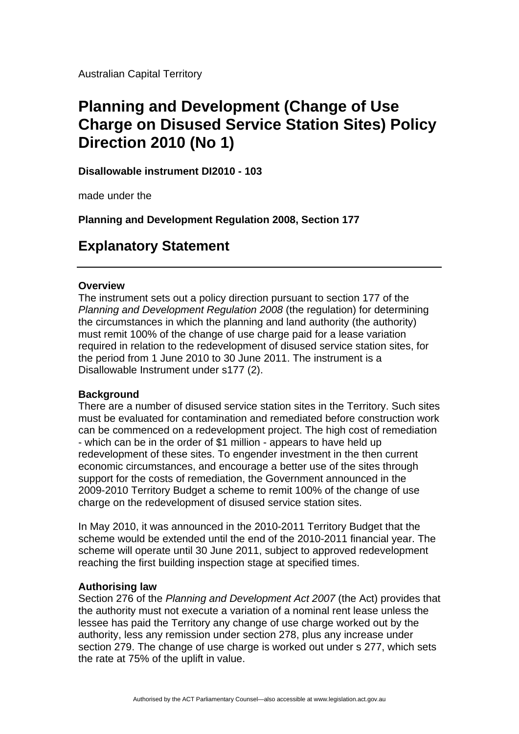Australian Capital Territory

# **Planning and Development (Change of Use Charge on Disused Service Station Sites) Policy Direction 2010 (No 1)**

**Disallowable instrument DI2010 - 103** 

made under the

**Planning and Development Regulation 2008, Section 177** 

## **Explanatory Statement**

### **Overview**

The instrument sets out a policy direction pursuant to section 177 of the *Planning and Development Regulation 2008* (the regulation) for determining the circumstances in which the planning and land authority (the authority) must remit 100% of the change of use charge paid for a lease variation required in relation to the redevelopment of disused service station sites, for the period from 1 June 2010 to 30 June 2011. The instrument is a Disallowable Instrument under s177 (2).

### **Background**

There are a number of disused service station sites in the Territory. Such sites must be evaluated for contamination and remediated before construction work can be commenced on a redevelopment project. The high cost of remediation - which can be in the order of \$1 million - appears to have held up redevelopment of these sites. To engender investment in the then current economic circumstances, and encourage a better use of the sites through support for the costs of remediation, the Government announced in the 2009-2010 Territory Budget a scheme to remit 100% of the change of use charge on the redevelopment of disused service station sites.

In May 2010, it was announced in the 2010-2011 Territory Budget that the scheme would be extended until the end of the 2010-2011 financial year. The scheme will operate until 30 June 2011, subject to approved redevelopment reaching the first building inspection stage at specified times.

### **Authorising law**

Section 276 of the *Planning and Development Act 2007* (the Act) provides that the authority must not execute a variation of a nominal rent lease unless the lessee has paid the Territory any change of use charge worked out by the authority, less any remission under section 278, plus any increase under section 279. The change of use charge is worked out under s 277, which sets the rate at 75% of the uplift in value.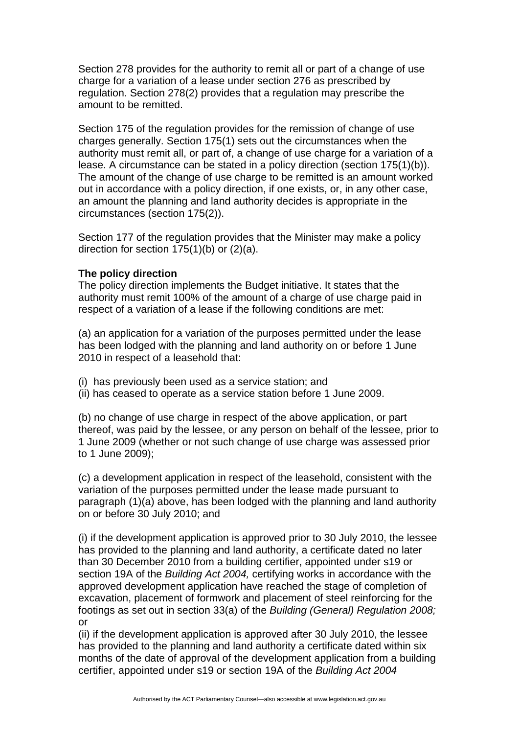Section 278 provides for the authority to remit all or part of a change of use charge for a variation of a lease under section 276 as prescribed by regulation. Section 278(2) provides that a regulation may prescribe the amount to be remitted.

Section 175 of the regulation provides for the remission of change of use charges generally. Section 175(1) sets out the circumstances when the authority must remit all, or part of, a change of use charge for a variation of a lease. A circumstance can be stated in a policy direction (section 175(1)(b)). The amount of the change of use charge to be remitted is an amount worked out in accordance with a policy direction, if one exists, or, in any other case, an amount the planning and land authority decides is appropriate in the circumstances (section 175(2)).

Section 177 of the regulation provides that the Minister may make a policy direction for section 175(1)(b) or (2)(a).

#### **The policy direction**

The policy direction implements the Budget initiative. It states that the authority must remit 100% of the amount of a charge of use charge paid in respect of a variation of a lease if the following conditions are met:

(a) an application for a variation of the purposes permitted under the lease has been lodged with the planning and land authority on or before 1 June 2010 in respect of a leasehold that:

(i) has previously been used as a service station; and

(ii) has ceased to operate as a service station before 1 June 2009.

(b) no change of use charge in respect of the above application, or part thereof, was paid by the lessee, or any person on behalf of the lessee, prior to 1 June 2009 (whether or not such change of use charge was assessed prior to 1 June 2009);

(c) a development application in respect of the leasehold, consistent with the variation of the purposes permitted under the lease made pursuant to paragraph (1)(a) above, has been lodged with the planning and land authority on or before 30 July 2010; and

(i) if the development application is approved prior to 30 July 2010, the lessee has provided to the planning and land authority, a certificate dated no later than 30 December 2010 from a building certifier, appointed under s19 or section 19A of the *Building Act 2004,* certifying works in accordance with the approved development application have reached the stage of completion of excavation, placement of formwork and placement of steel reinforcing for the footings as set out in section 33(a) of the *Building (General) Regulation 2008;*  or

(ii) if the development application is approved after 30 July 2010, the lessee has provided to the planning and land authority a certificate dated within six months of the date of approval of the development application from a building certifier, appointed under s19 or section 19A of the *Building Act 2004*